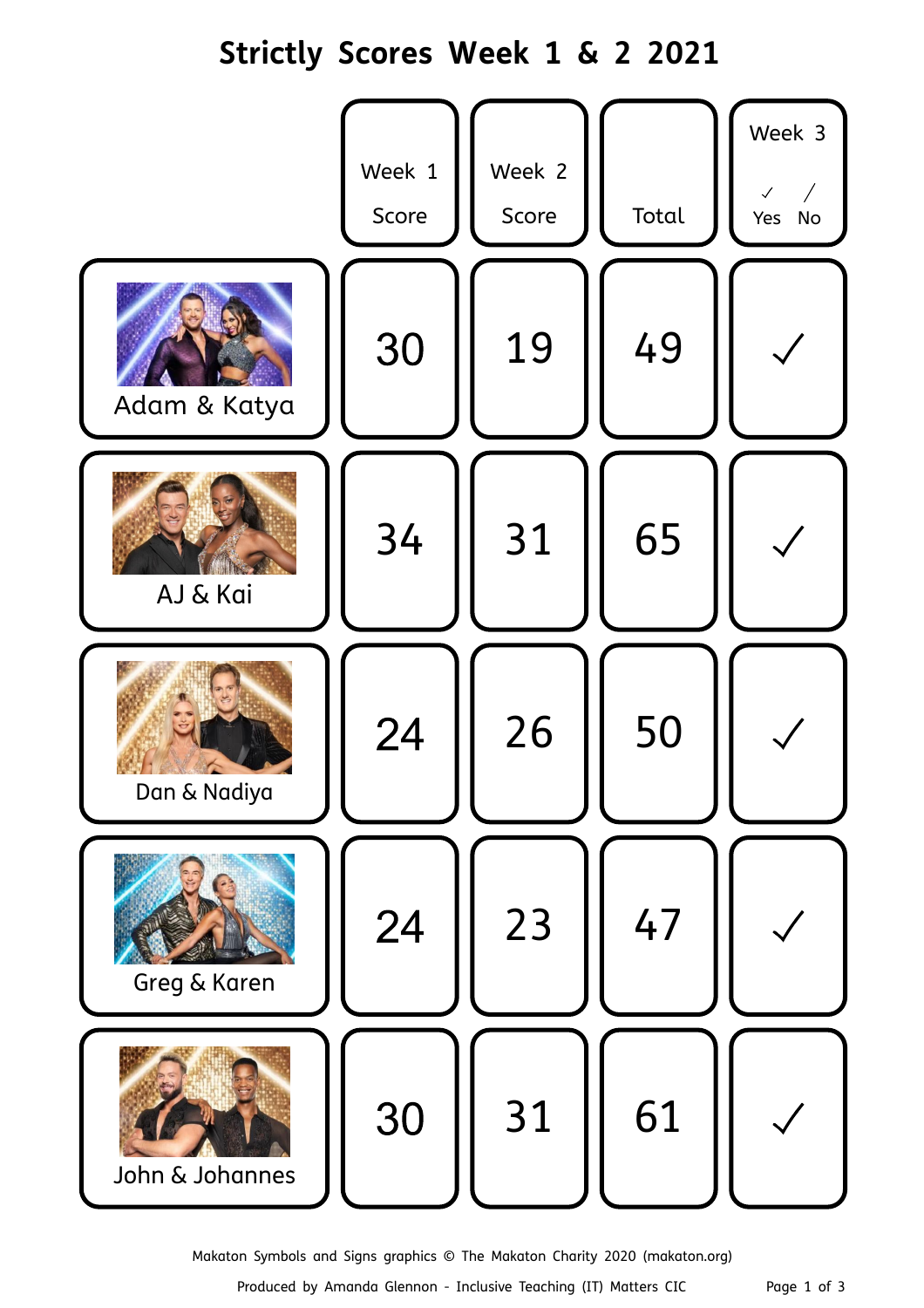## **Strictly Scores Week 1 & 2 2021**



Makaton Symbols and Signs graphics © The Makaton Charity 2020 (makaton.org)

Produced by Amanda Glennon - Inclusive Teaching (IT) Matters CIC Page 1 of 3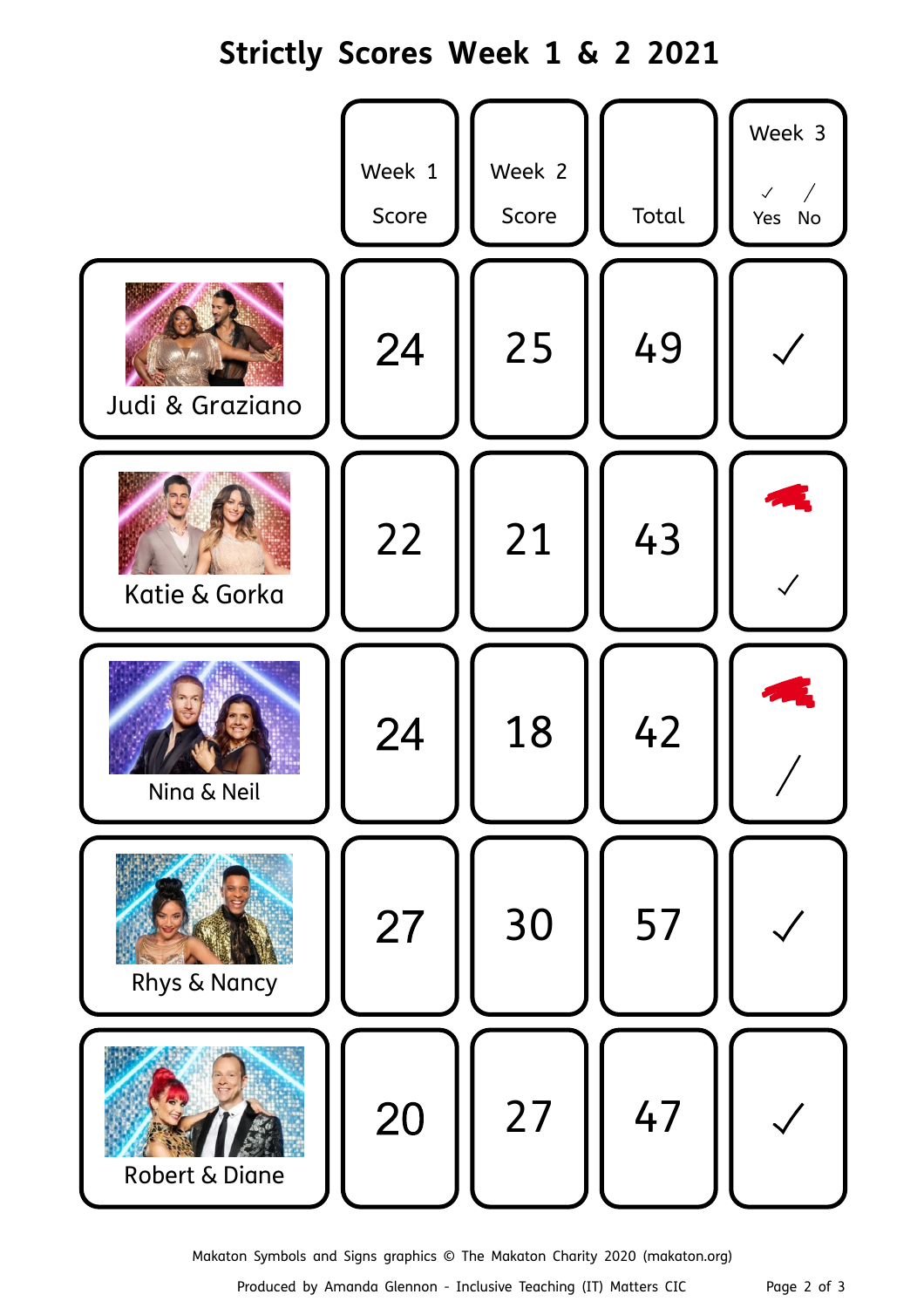## **Strictly Scores Week 1 & 2 2021**



Makaton Symbols and Signs graphics © The Makaton Charity 2020 (makaton.org)

Produced by Amanda Glennon - Inclusive Teaching (IT) Matters CIC Page 2 of 3